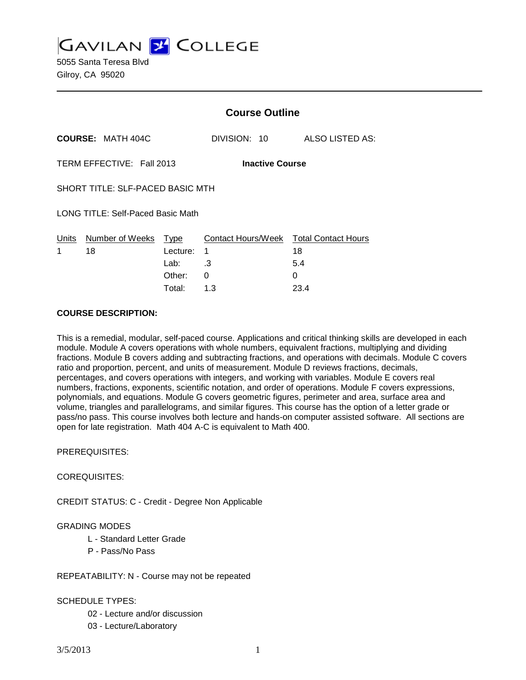**GAVILAN 2 COLLEGE** 

5055 Santa Teresa Blvd Gilroy, CA 95020

|                                     |                              | <b>Course Outline</b>                        |  |
|-------------------------------------|------------------------------|----------------------------------------------|--|
| <b>COURSE: MATH 404C</b>            | DIVISION: 10                 | ALSO LISTED AS:                              |  |
| TERM EFFECTIVE: Fall 2013           |                              | <b>Inactive Course</b>                       |  |
| SHORT TITLE: SLF-PACED BASIC MTH    |                              |                                              |  |
| LONG TITLE: Self-Paced Basic Math   |                              |                                              |  |
| Number of Weeks<br>Units<br>18<br>1 | <u>Type</u><br>Lecture:<br>1 | Contact Hours/Week Total Contact Hours<br>18 |  |
|                                     | .3<br>Lab:                   | 5.4                                          |  |
|                                     | Other:<br>0                  | 0                                            |  |

Total: 1.3 23.4

### **COURSE DESCRIPTION:**

This is a remedial, modular, self-paced course. Applications and critical thinking skills are developed in each module. Module A covers operations with whole numbers, equivalent fractions, multiplying and dividing fractions. Module B covers adding and subtracting fractions, and operations with decimals. Module C covers ratio and proportion, percent, and units of measurement. Module D reviews fractions, decimals, percentages, and covers operations with integers, and working with variables. Module E covers real numbers, fractions, exponents, scientific notation, and order of operations. Module F covers expressions, polynomials, and equations. Module G covers geometric figures, perimeter and area, surface area and volume, triangles and parallelograms, and similar figures. This course has the option of a letter grade or pass/no pass. This course involves both lecture and hands-on computer assisted software. All sections are open for late registration. Math 404 A-C is equivalent to Math 400.

PREREQUISITES:

### COREQUISITES:

CREDIT STATUS: C - Credit - Degree Non Applicable

### GRADING MODES

- L Standard Letter Grade
- P Pass/No Pass

### REPEATABILITY: N - Course may not be repeated

## SCHEDULE TYPES:

- 02 Lecture and/or discussion
- 03 Lecture/Laboratory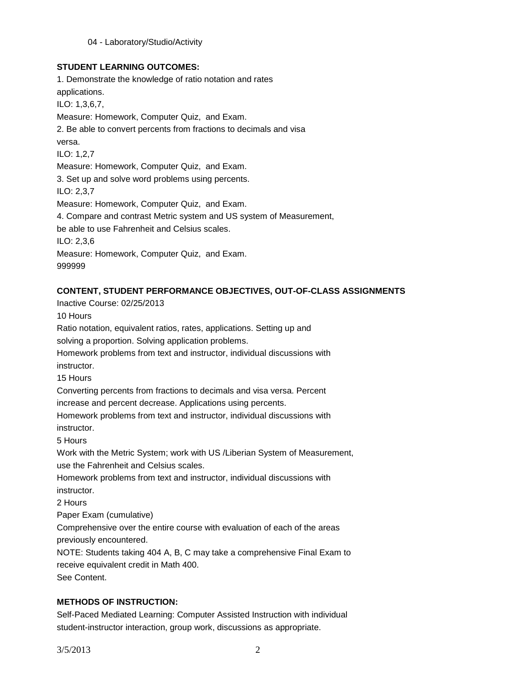## **STUDENT LEARNING OUTCOMES:**

1. Demonstrate the knowledge of ratio notation and rates applications. ILO: 1,3,6,7, Measure: Homework, Computer Quiz, and Exam. 2. Be able to convert percents from fractions to decimals and visa versa. ILO: 1,2,7 Measure: Homework, Computer Quiz, and Exam. 3. Set up and solve word problems using percents. ILO: 2,3,7 Measure: Homework, Computer Quiz, and Exam. 4. Compare and contrast Metric system and US system of Measurement, be able to use Fahrenheit and Celsius scales. ILO: 2,3,6 Measure: Homework, Computer Quiz, and Exam. 999999

## **CONTENT, STUDENT PERFORMANCE OBJECTIVES, OUT-OF-CLASS ASSIGNMENTS**

Inactive Course: 02/25/2013 10 Hours Ratio notation, equivalent ratios, rates, applications. Setting up and solving a proportion. Solving application problems. Homework problems from text and instructor, individual discussions with instructor. 15 Hours Converting percents from fractions to decimals and visa versa. Percent increase and percent decrease. Applications using percents. Homework problems from text and instructor, individual discussions with instructor. 5 Hours Work with the Metric System; work with US /Liberian System of Measurement,

use the Fahrenheit and Celsius scales.

Homework problems from text and instructor, individual discussions with instructor.

2 Hours

Paper Exam (cumulative)

Comprehensive over the entire course with evaluation of each of the areas previously encountered.

NOTE: Students taking 404 A, B, C may take a comprehensive Final Exam to receive equivalent credit in Math 400. See Content.

# **METHODS OF INSTRUCTION:**

Self-Paced Mediated Learning: Computer Assisted Instruction with individual student-instructor interaction, group work, discussions as appropriate.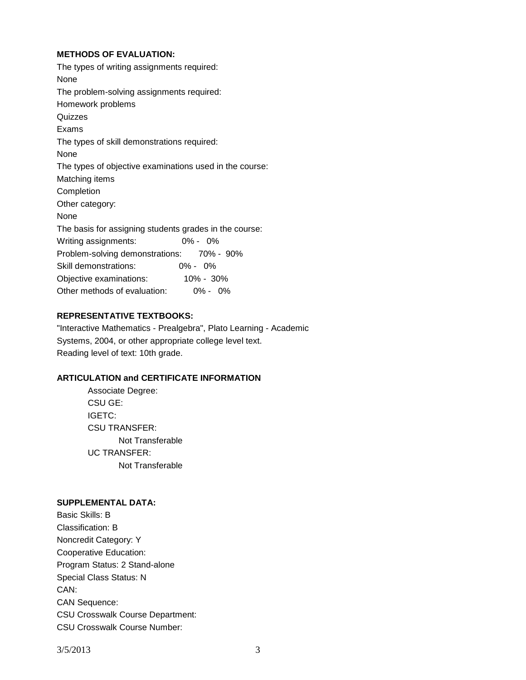## **METHODS OF EVALUATION:**

The types of writing assignments required: None The problem-solving assignments required: Homework problems **Quizzes** Exams The types of skill demonstrations required: None The types of objective examinations used in the course: Matching items Completion Other category: None The basis for assigning students grades in the course: Writing assignments: 0% - 0% Problem-solving demonstrations: 70% - 90% Skill demonstrations: 0% - 0% Objective examinations: 10% - 30% Other methods of evaluation: 0% - 0%

## **REPRESENTATIVE TEXTBOOKS:**

"Interactive Mathematics - Prealgebra", Plato Learning - Academic Systems, 2004, or other appropriate college level text. Reading level of text: 10th grade.

## **ARTICULATION and CERTIFICATE INFORMATION**

Associate Degree: CSU GE: IGETC: CSU TRANSFER: Not Transferable UC TRANSFER: Not Transferable

## **SUPPLEMENTAL DATA:**

Basic Skills: B Classification: B Noncredit Category: Y Cooperative Education: Program Status: 2 Stand-alone Special Class Status: N CAN: CAN Sequence: CSU Crosswalk Course Department: CSU Crosswalk Course Number: